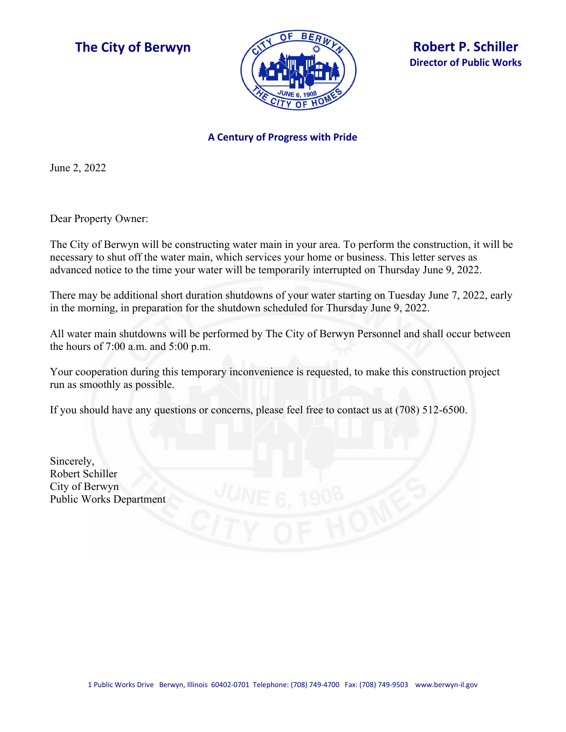



## **A Century of Progress with Pride**

June 2, 2022

Dear Property Owner:

The City of Berwyn will be constructing water main in your area. To perform the construction, it will be necessary to shut off the water main, which services your home or business. This letter serves as advanced notice to the time your water will be temporarily interrupted on Thursday June 9, 2022.

There may be additional short duration shutdowns of your water starting on Tuesday June 7, 2022, early in the morning, in preparation for the shutdown scheduled for Thursday June 9, 2022.

All water main shutdowns will be performed by The City of Berwyn Personnel and shall occur between the hours of 7:00 a.m. and 5:00 p.m.

Your cooperation during this temporary inconvenience is requested, to make this construction project run as smoothly as possible.

If you should have any questions or concerns, please feel free to contact us at (708) 512-6500.

Sincerely, Robert Schiller City of Berwyn Public Works Department